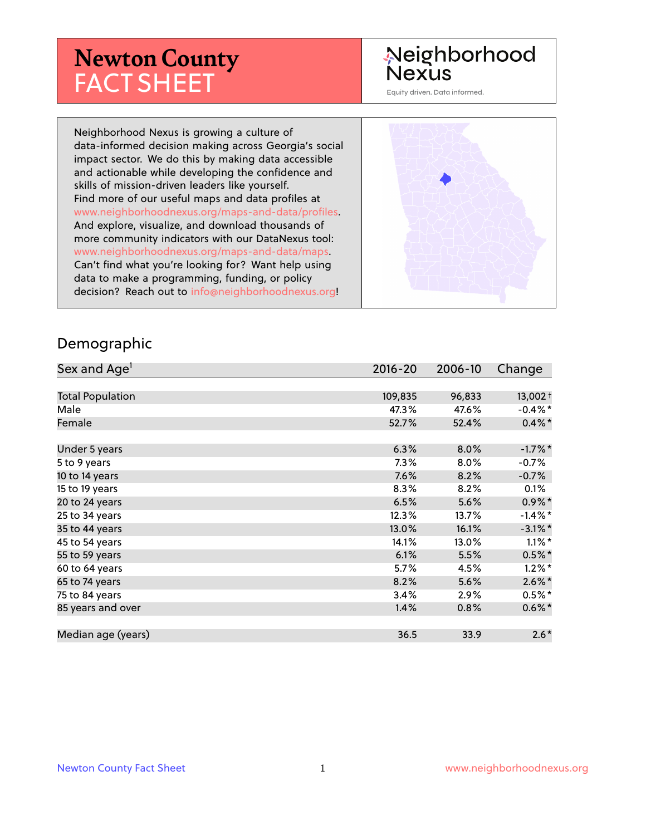# **Newton County** FACT SHEET

# Neighborhood **Nexus**

Equity driven. Data informed.

Neighborhood Nexus is growing a culture of data-informed decision making across Georgia's social impact sector. We do this by making data accessible and actionable while developing the confidence and skills of mission-driven leaders like yourself. Find more of our useful maps and data profiles at www.neighborhoodnexus.org/maps-and-data/profiles. And explore, visualize, and download thousands of more community indicators with our DataNexus tool: www.neighborhoodnexus.org/maps-and-data/maps. Can't find what you're looking for? Want help using data to make a programming, funding, or policy decision? Reach out to [info@neighborhoodnexus.org!](mailto:info@neighborhoodnexus.org)



#### Demographic

| Sex and Age <sup>1</sup> | $2016 - 20$ | 2006-10 | Change     |
|--------------------------|-------------|---------|------------|
|                          |             |         |            |
| <b>Total Population</b>  | 109,835     | 96,833  | $13,002 +$ |
| Male                     | 47.3%       | 47.6%   | $-0.4\%$ * |
| Female                   | 52.7%       | 52.4%   | $0.4\% *$  |
|                          |             |         |            |
| Under 5 years            | 6.3%        | 8.0%    | $-1.7%$ *  |
| 5 to 9 years             | $7.3\%$     | 8.0%    | $-0.7\%$   |
| 10 to 14 years           | 7.6%        | 8.2%    | $-0.7%$    |
| 15 to 19 years           | 8.3%        | 8.2%    | 0.1%       |
| 20 to 24 years           | 6.5%        | 5.6%    | $0.9\%$ *  |
| 25 to 34 years           | 12.3%       | 13.7%   | $-1.4\%$ * |
| 35 to 44 years           | 13.0%       | 16.1%   | $-3.1\%$ * |
| 45 to 54 years           | 14.1%       | 13.0%   | $1.1\%$ *  |
| 55 to 59 years           | 6.1%        | 5.5%    | $0.5%$ *   |
| 60 to 64 years           | 5.7%        | 4.5%    | $1.2\%$ *  |
| 65 to 74 years           | 8.2%        | 5.6%    | $2.6\%$ *  |
| 75 to 84 years           | 3.4%        | $2.9\%$ | $0.5%$ *   |
| 85 years and over        | 1.4%        | 0.8%    | $0.6\%$    |
|                          |             |         |            |
| Median age (years)       | 36.5        | 33.9    | $2.6*$     |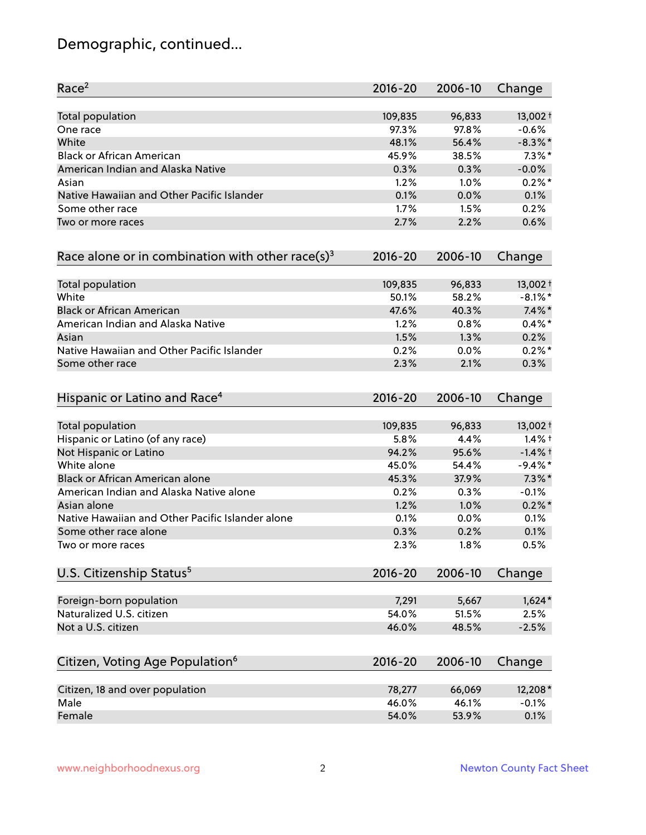# Demographic, continued...

| Race <sup>2</sup>                                            | $2016 - 20$ | 2006-10 | Change     |
|--------------------------------------------------------------|-------------|---------|------------|
| <b>Total population</b>                                      | 109,835     | 96,833  | 13,002 +   |
| One race                                                     | 97.3%       | 97.8%   | $-0.6%$    |
| White                                                        | 48.1%       | 56.4%   | $-8.3\%$ * |
| <b>Black or African American</b>                             | 45.9%       | 38.5%   | $7.3\%$ *  |
| American Indian and Alaska Native                            | 0.3%        | 0.3%    | $-0.0%$    |
| Asian                                                        | 1.2%        | 1.0%    | $0.2%$ *   |
| Native Hawaiian and Other Pacific Islander                   | 0.1%        | 0.0%    | 0.1%       |
| Some other race                                              | 1.7%        | 1.5%    | 0.2%       |
| Two or more races                                            | 2.7%        | 2.2%    | 0.6%       |
| Race alone or in combination with other race(s) <sup>3</sup> | $2016 - 20$ | 2006-10 | Change     |
| Total population                                             | 109,835     | 96,833  | 13,002+    |
| White                                                        | 50.1%       | 58.2%   | $-8.1\%$ * |
| <b>Black or African American</b>                             | 47.6%       | 40.3%   | $7.4\%$ *  |
| American Indian and Alaska Native                            | 1.2%        | 0.8%    | $0.4\%$ *  |
| Asian                                                        | 1.5%        | 1.3%    | 0.2%       |
| Native Hawaiian and Other Pacific Islander                   | 0.2%        | 0.0%    | $0.2%$ *   |
| Some other race                                              | 2.3%        | 2.1%    | 0.3%       |
| Hispanic or Latino and Race <sup>4</sup>                     | $2016 - 20$ | 2006-10 | Change     |
| <b>Total population</b>                                      | 109,835     | 96,833  | 13,002 +   |
| Hispanic or Latino (of any race)                             | 5.8%        | 4.4%    | $1.4%$ †   |
| Not Hispanic or Latino                                       | 94.2%       | 95.6%   | $-1.4%$ †  |
| White alone                                                  | 45.0%       | 54.4%   | $-9.4%$ *  |
| Black or African American alone                              | 45.3%       | 37.9%   | $7.3\%$ *  |
| American Indian and Alaska Native alone                      | 0.2%        | 0.3%    | $-0.1%$    |
| Asian alone                                                  | 1.2%        | 1.0%    | $0.2\%$ *  |
| Native Hawaiian and Other Pacific Islander alone             | 0.1%        | 0.0%    | 0.1%       |
| Some other race alone                                        | 0.3%        | 0.2%    | 0.1%       |
| Two or more races                                            | 2.3%        | 1.8%    | 0.5%       |
| U.S. Citizenship Status <sup>5</sup>                         | $2016 - 20$ | 2006-10 | Change     |
| Foreign-born population                                      | 7,291       | 5,667   | $1,624*$   |
| Naturalized U.S. citizen                                     | 54.0%       | 51.5%   | 2.5%       |
| Not a U.S. citizen                                           | 46.0%       | 48.5%   | $-2.5%$    |
| Citizen, Voting Age Population <sup>6</sup>                  | $2016 - 20$ | 2006-10 |            |
|                                                              |             |         | Change     |
| Citizen, 18 and over population                              | 78,277      | 66,069  | 12,208*    |
| Male                                                         | 46.0%       | 46.1%   | $-0.1%$    |
| Female                                                       | 54.0%       | 53.9%   | 0.1%       |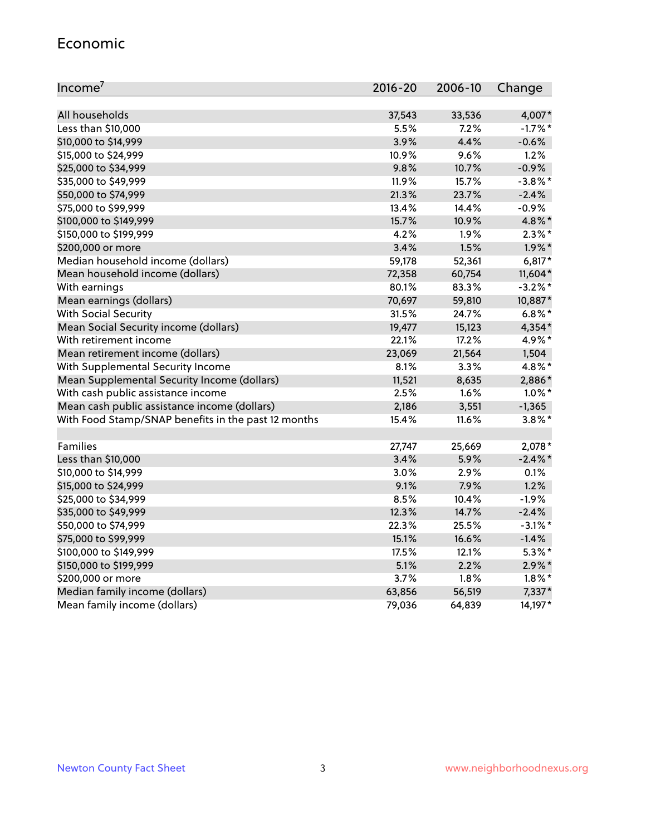#### Economic

| Income <sup>7</sup>                                 | $2016 - 20$ | 2006-10 | Change     |
|-----------------------------------------------------|-------------|---------|------------|
|                                                     |             |         |            |
| All households                                      | 37,543      | 33,536  | 4,007*     |
| Less than \$10,000                                  | 5.5%        | 7.2%    | $-1.7%$ *  |
| \$10,000 to \$14,999                                | 3.9%        | 4.4%    | $-0.6%$    |
| \$15,000 to \$24,999                                | 10.9%       | 9.6%    | 1.2%       |
| \$25,000 to \$34,999                                | 9.8%        | 10.7%   | $-0.9%$    |
| \$35,000 to \$49,999                                | 11.9%       | 15.7%   | $-3.8\%$ * |
| \$50,000 to \$74,999                                | 21.3%       | 23.7%   | $-2.4%$    |
| \$75,000 to \$99,999                                | 13.4%       | 14.4%   | $-0.9%$    |
| \$100,000 to \$149,999                              | 15.7%       | 10.9%   | 4.8%*      |
| \$150,000 to \$199,999                              | 4.2%        | 1.9%    | $2.3\%$ *  |
| \$200,000 or more                                   | 3.4%        | 1.5%    | $1.9\%$ *  |
| Median household income (dollars)                   | 59,178      | 52,361  | $6,817*$   |
| Mean household income (dollars)                     | 72,358      | 60,754  | 11,604*    |
| With earnings                                       | 80.1%       | 83.3%   | $-3.2\%$ * |
| Mean earnings (dollars)                             | 70,697      | 59,810  | 10,887*    |
| <b>With Social Security</b>                         | 31.5%       | 24.7%   | $6.8\%$ *  |
| Mean Social Security income (dollars)               | 19,477      | 15,123  | 4,354*     |
| With retirement income                              | 22.1%       | 17.2%   | 4.9%*      |
| Mean retirement income (dollars)                    | 23,069      | 21,564  | 1,504      |
| With Supplemental Security Income                   | 8.1%        | $3.3\%$ | 4.8%*      |
| Mean Supplemental Security Income (dollars)         | 11,521      | 8,635   | 2,886*     |
| With cash public assistance income                  | 2.5%        | 1.6%    | $1.0\%$ *  |
| Mean cash public assistance income (dollars)        | 2,186       | 3,551   | $-1,365$   |
| With Food Stamp/SNAP benefits in the past 12 months | 15.4%       | 11.6%   | $3.8\%$ *  |
|                                                     |             |         |            |
| Families                                            | 27,747      | 25,669  | 2,078*     |
| Less than \$10,000                                  | 3.4%        | 5.9%    | $-2.4\%$ * |
| \$10,000 to \$14,999                                | 3.0%        | 2.9%    | 0.1%       |
| \$15,000 to \$24,999                                | 9.1%        | 7.9%    | 1.2%       |
| \$25,000 to \$34,999                                | 8.5%        | 10.4%   | $-1.9%$    |
| \$35,000 to \$49,999                                | 12.3%       | 14.7%   | $-2.4%$    |
| \$50,000 to \$74,999                                | 22.3%       | 25.5%   | $-3.1\%$ * |
| \$75,000 to \$99,999                                | 15.1%       | 16.6%   | $-1.4%$    |
| \$100,000 to \$149,999                              | 17.5%       | 12.1%   | $5.3\%$ *  |
| \$150,000 to \$199,999                              | 5.1%        | 2.2%    | $2.9\%$ *  |
| \$200,000 or more                                   | 3.7%        | 1.8%    | $1.8\%$ *  |
| Median family income (dollars)                      | 63,856      | 56,519  | 7,337*     |
| Mean family income (dollars)                        | 79,036      | 64,839  | 14,197*    |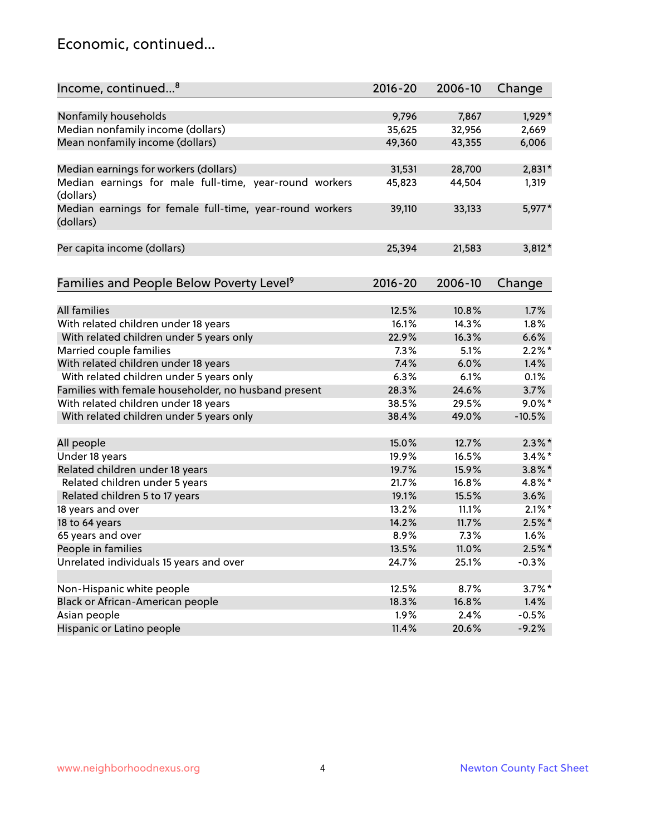### Economic, continued...

| Income, continued <sup>8</sup>                                        | $2016 - 20$ | 2006-10 | Change    |
|-----------------------------------------------------------------------|-------------|---------|-----------|
|                                                                       |             |         |           |
| Nonfamily households                                                  | 9,796       | 7,867   | 1,929*    |
| Median nonfamily income (dollars)                                     | 35,625      | 32,956  | 2,669     |
| Mean nonfamily income (dollars)                                       | 49,360      | 43,355  | 6,006     |
| Median earnings for workers (dollars)                                 | 31,531      | 28,700  | $2,831*$  |
| Median earnings for male full-time, year-round workers                | 45,823      | 44,504  | 1,319     |
| (dollars)                                                             |             |         |           |
| Median earnings for female full-time, year-round workers<br>(dollars) | 39,110      | 33,133  | 5,977*    |
| Per capita income (dollars)                                           | 25,394      | 21,583  | $3,812*$  |
|                                                                       |             |         |           |
| Families and People Below Poverty Level <sup>9</sup>                  | $2016 - 20$ | 2006-10 | Change    |
|                                                                       |             |         |           |
| <b>All families</b>                                                   | 12.5%       | 10.8%   | 1.7%      |
| With related children under 18 years                                  | 16.1%       | 14.3%   | 1.8%      |
| With related children under 5 years only                              | 22.9%       | 16.3%   | 6.6%      |
| Married couple families                                               | 7.3%        | 5.1%    | $2.2\%$ * |
| With related children under 18 years                                  | 7.4%        | 6.0%    | 1.4%      |
| With related children under 5 years only                              | 6.3%        | 6.1%    | 0.1%      |
| Families with female householder, no husband present                  | 28.3%       | 24.6%   | 3.7%      |
| With related children under 18 years                                  | 38.5%       | 29.5%   | $9.0\%$ * |
| With related children under 5 years only                              | 38.4%       | 49.0%   | $-10.5%$  |
| All people                                                            | 15.0%       | 12.7%   | $2.3\%$ * |
| Under 18 years                                                        | 19.9%       | 16.5%   | $3.4\%$ * |
| Related children under 18 years                                       | 19.7%       | 15.9%   | $3.8\%$ * |
| Related children under 5 years                                        | 21.7%       | 16.8%   | 4.8%*     |
| Related children 5 to 17 years                                        | 19.1%       | 15.5%   | 3.6%      |
| 18 years and over                                                     | 13.2%       | 11.1%   | $2.1\%$ * |
| 18 to 64 years                                                        | 14.2%       | 11.7%   | $2.5\%$ * |
| 65 years and over                                                     | 8.9%        | 7.3%    | 1.6%      |
| People in families                                                    | 13.5%       | 11.0%   | $2.5%$ *  |
| Unrelated individuals 15 years and over                               | 24.7%       | 25.1%   | $-0.3%$   |
|                                                                       |             |         |           |
| Non-Hispanic white people                                             | 12.5%       | 8.7%    | $3.7\%$ * |
| Black or African-American people                                      | 18.3%       | 16.8%   | 1.4%      |
| Asian people                                                          | 1.9%        | 2.4%    | $-0.5%$   |
| Hispanic or Latino people                                             | 11.4%       | 20.6%   | $-9.2%$   |
|                                                                       |             |         |           |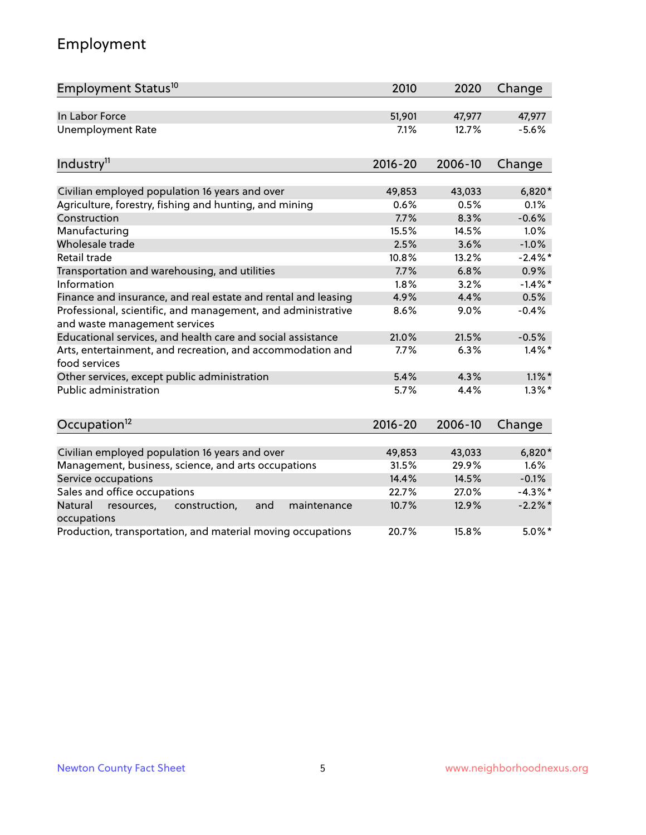# Employment

| Employment Status <sup>10</sup>                                                               | 2010        | 2020    | Change     |
|-----------------------------------------------------------------------------------------------|-------------|---------|------------|
| In Labor Force                                                                                | 51,901      | 47,977  | 47,977     |
| <b>Unemployment Rate</b>                                                                      | 7.1%        | 12.7%   | $-5.6%$    |
| Industry <sup>11</sup>                                                                        | $2016 - 20$ | 2006-10 | Change     |
| Civilian employed population 16 years and over                                                | 49,853      | 43,033  | $6,820*$   |
| Agriculture, forestry, fishing and hunting, and mining                                        | 0.6%        | 0.5%    | 0.1%       |
| Construction                                                                                  | 7.7%        | 8.3%    | $-0.6%$    |
| Manufacturing                                                                                 | 15.5%       | 14.5%   | 1.0%       |
| Wholesale trade                                                                               | 2.5%        | 3.6%    | $-1.0%$    |
| Retail trade                                                                                  | 10.8%       | 13.2%   | $-2.4\%$ * |
| Transportation and warehousing, and utilities                                                 | 7.7%        | 6.8%    | 0.9%       |
| Information                                                                                   | 1.8%        | 3.2%    | $-1.4\%$ * |
| Finance and insurance, and real estate and rental and leasing                                 | 4.9%        | 4.4%    | 0.5%       |
| Professional, scientific, and management, and administrative<br>and waste management services | 8.6%        | 9.0%    | $-0.4%$    |
| Educational services, and health care and social assistance                                   | 21.0%       | 21.5%   | $-0.5%$    |
| Arts, entertainment, and recreation, and accommodation and<br>food services                   | 7.7%        | 6.3%    | $1.4\%$ *  |
| Other services, except public administration                                                  | 5.4%        | 4.3%    | $1.1\%$ *  |
| <b>Public administration</b>                                                                  | 5.7%        | 4.4%    | $1.3\%$ *  |
| Occupation <sup>12</sup>                                                                      | $2016 - 20$ | 2006-10 | Change     |
| Civilian employed population 16 years and over                                                | 49,853      | 43,033  | 6,820*     |
| Management, business, science, and arts occupations                                           | 31.5%       | 29.9%   | 1.6%       |
| Service occupations                                                                           | 14.4%       | 14.5%   | $-0.1%$    |
| Sales and office occupations                                                                  | 22.7%       | 27.0%   | $-4.3\%$ * |
| Natural<br>resources,<br>construction,<br>and<br>maintenance                                  | 10.7%       | 12.9%   | $-2.2%$ *  |
| occupations<br>Production, transportation, and material moving occupations                    | 20.7%       | 15.8%   | $5.0\%$ *  |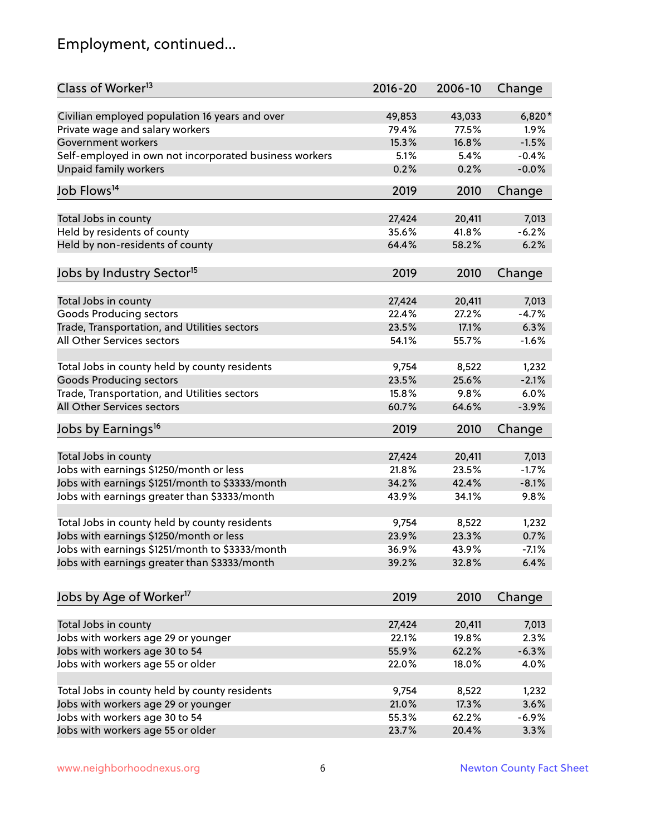# Employment, continued...

| Class of Worker <sup>13</sup>                          | $2016 - 20$ | 2006-10 | Change  |
|--------------------------------------------------------|-------------|---------|---------|
| Civilian employed population 16 years and over         | 49,853      | 43,033  | 6,820*  |
| Private wage and salary workers                        | 79.4%       | 77.5%   | 1.9%    |
| Government workers                                     | 15.3%       | 16.8%   | $-1.5%$ |
| Self-employed in own not incorporated business workers | 5.1%        | 5.4%    | $-0.4%$ |
| Unpaid family workers                                  | 0.2%        | 0.2%    | $-0.0%$ |
| Job Flows <sup>14</sup>                                | 2019        | 2010    | Change  |
| Total Jobs in county                                   | 27,424      | 20,411  | 7,013   |
| Held by residents of county                            | 35.6%       | 41.8%   | $-6.2%$ |
|                                                        | 64.4%       | 58.2%   | 6.2%    |
| Held by non-residents of county                        |             |         |         |
| Jobs by Industry Sector <sup>15</sup>                  | 2019        | 2010    | Change  |
| Total Jobs in county                                   | 27,424      | 20,411  | 7,013   |
| Goods Producing sectors                                | 22.4%       | 27.2%   | $-4.7%$ |
| Trade, Transportation, and Utilities sectors           | 23.5%       | 17.1%   | 6.3%    |
| All Other Services sectors                             | 54.1%       | 55.7%   | $-1.6%$ |
|                                                        |             |         |         |
| Total Jobs in county held by county residents          | 9,754       | 8,522   | 1,232   |
| <b>Goods Producing sectors</b>                         | 23.5%       | 25.6%   | $-2.1%$ |
| Trade, Transportation, and Utilities sectors           | 15.8%       | 9.8%    | 6.0%    |
| All Other Services sectors                             | 60.7%       | 64.6%   | $-3.9%$ |
| Jobs by Earnings <sup>16</sup>                         | 2019        | 2010    | Change  |
|                                                        |             |         |         |
| Total Jobs in county                                   | 27,424      | 20,411  | 7,013   |
| Jobs with earnings \$1250/month or less                | 21.8%       | 23.5%   | $-1.7%$ |
| Jobs with earnings \$1251/month to \$3333/month        | 34.2%       | 42.4%   | $-8.1%$ |
| Jobs with earnings greater than \$3333/month           | 43.9%       | 34.1%   | 9.8%    |
| Total Jobs in county held by county residents          | 9,754       | 8,522   | 1,232   |
| Jobs with earnings \$1250/month or less                | 23.9%       | 23.3%   | 0.7%    |
| Jobs with earnings \$1251/month to \$3333/month        | 36.9%       | 43.9%   | -7.1%   |
| Jobs with earnings greater than \$3333/month           | 39.2%       | 32.8%   | 6.4%    |
|                                                        |             |         |         |
| Jobs by Age of Worker <sup>17</sup>                    | 2019        | 2010    | Change  |
| Total Jobs in county                                   | 27,424      | 20,411  | 7,013   |
| Jobs with workers age 29 or younger                    | 22.1%       | 19.8%   | 2.3%    |
| Jobs with workers age 30 to 54                         | 55.9%       | 62.2%   | $-6.3%$ |
| Jobs with workers age 55 or older                      | 22.0%       | 18.0%   | 4.0%    |
|                                                        |             |         |         |
| Total Jobs in county held by county residents          | 9,754       | 8,522   | 1,232   |
| Jobs with workers age 29 or younger                    | 21.0%       | 17.3%   | 3.6%    |
| Jobs with workers age 30 to 54                         | 55.3%       | 62.2%   | $-6.9%$ |
| Jobs with workers age 55 or older                      | 23.7%       | 20.4%   | 3.3%    |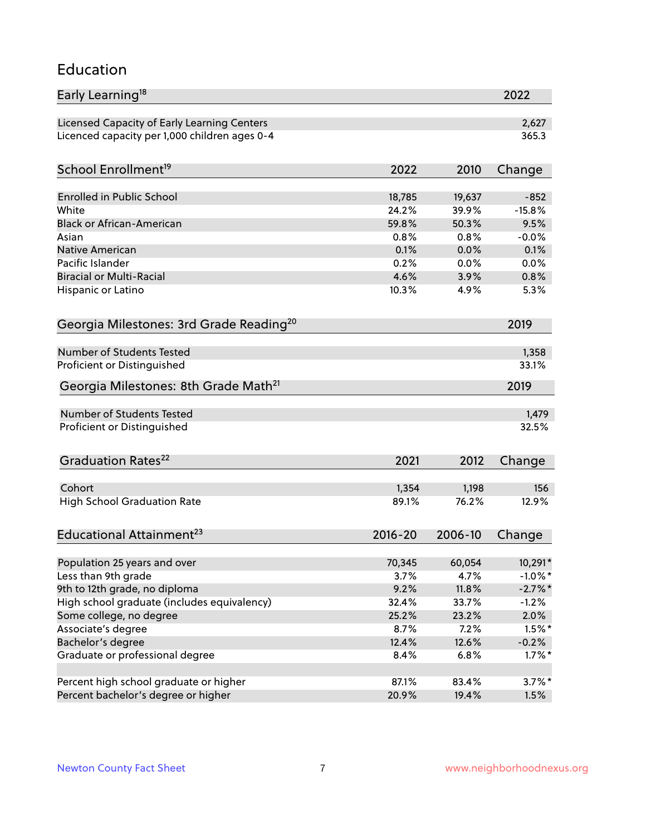#### Education

| Early Learning <sup>18</sup>                        |                |                | 2022                  |
|-----------------------------------------------------|----------------|----------------|-----------------------|
| Licensed Capacity of Early Learning Centers         |                |                | 2,627                 |
| Licenced capacity per 1,000 children ages 0-4       |                |                | 365.3                 |
| School Enrollment <sup>19</sup>                     | 2022           | 2010           | Change                |
|                                                     |                |                |                       |
| <b>Enrolled in Public School</b>                    | 18,785         | 19,637         | $-852$                |
| White                                               | 24.2%          | 39.9%          | $-15.8%$              |
| <b>Black or African-American</b>                    | 59.8%          | 50.3%          | 9.5%                  |
| Asian                                               | 0.8%           | 0.8%           | $-0.0%$               |
| Native American                                     | 0.1%           | 0.0%           | 0.1%                  |
| Pacific Islander                                    | 0.2%           | 0.0%           | 0.0%                  |
| <b>Biracial or Multi-Racial</b>                     | 4.6%           | 3.9%           | 0.8%                  |
| Hispanic or Latino                                  | 10.3%          | 4.9%           | 5.3%                  |
| Georgia Milestones: 3rd Grade Reading <sup>20</sup> |                |                | 2019                  |
|                                                     |                |                |                       |
| Number of Students Tested                           |                |                | 1,358                 |
| Proficient or Distinguished                         |                |                | 33.1%                 |
| Georgia Milestones: 8th Grade Math <sup>21</sup>    |                |                | 2019                  |
| Number of Students Tested                           |                |                | 1,479                 |
| Proficient or Distinguished                         |                |                | 32.5%                 |
|                                                     |                |                |                       |
| Graduation Rates <sup>22</sup>                      | 2021           | 2012           | Change                |
| Cohort                                              | 1,354          | 1,198          | 156                   |
| <b>High School Graduation Rate</b>                  | 89.1%          | 76.2%          | 12.9%                 |
|                                                     |                |                |                       |
| Educational Attainment <sup>23</sup>                | $2016 - 20$    | 2006-10        | Change                |
|                                                     |                |                |                       |
| Population 25 years and over<br>Less than 9th grade | 70,345<br>3.7% | 60,054<br>4.7% | 10,291*<br>$-1.0\%$ * |
| 9th to 12th grade, no diploma                       | 9.2%           | 11.8%          | $-2.7\%$ *            |
| High school graduate (includes equivalency)         | 32.4%          |                |                       |
|                                                     |                | 33.7%          | $-1.2%$<br>2.0%       |
| Some college, no degree                             | 25.2%          | 23.2%          |                       |
| Associate's degree                                  | 8.7%           | 7.2%           | $1.5\%$ *             |
| Bachelor's degree                                   | 12.4%          | 12.6%          | $-0.2%$               |
| Graduate or professional degree                     | 8.4%           | 6.8%           | $1.7\%$ *             |
| Percent high school graduate or higher              | 87.1%          | 83.4%          | $3.7\%$ *             |
| Percent bachelor's degree or higher                 | 20.9%          | 19.4%          | 1.5%                  |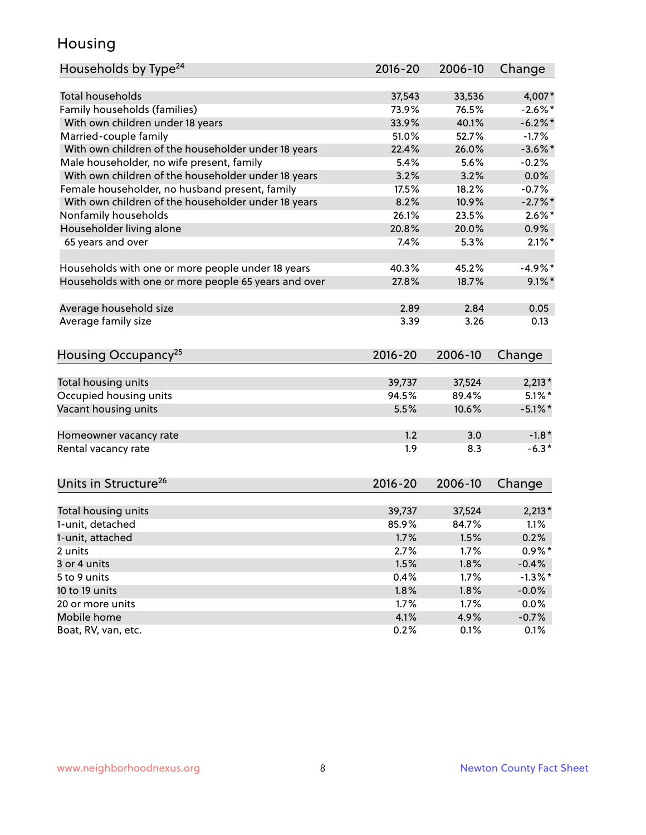### Housing

| Households by Type <sup>24</sup>                     | 2016-20     | 2006-10 | Change     |
|------------------------------------------------------|-------------|---------|------------|
|                                                      |             |         |            |
| <b>Total households</b>                              | 37,543      | 33,536  | 4,007*     |
| Family households (families)                         | 73.9%       | 76.5%   | $-2.6\%$ * |
| With own children under 18 years                     | 33.9%       | 40.1%   | $-6.2\%$ * |
| Married-couple family                                | 51.0%       | 52.7%   | $-1.7%$    |
| With own children of the householder under 18 years  | 22.4%       | 26.0%   | $-3.6\%$ * |
| Male householder, no wife present, family            | 5.4%        | 5.6%    | $-0.2%$    |
| With own children of the householder under 18 years  | 3.2%        | 3.2%    | 0.0%       |
| Female householder, no husband present, family       | 17.5%       | 18.2%   | $-0.7%$    |
| With own children of the householder under 18 years  | 8.2%        | 10.9%   | $-2.7\%$ * |
| Nonfamily households                                 | 26.1%       | 23.5%   | $2.6\%$ *  |
| Householder living alone                             | 20.8%       | 20.0%   | 0.9%       |
| 65 years and over                                    | 7.4%        | 5.3%    | $2.1\%$ *  |
|                                                      |             |         |            |
| Households with one or more people under 18 years    | 40.3%       | 45.2%   | $-4.9%$ *  |
| Households with one or more people 65 years and over | 27.8%       | 18.7%   | $9.1\%$ *  |
| Average household size                               | 2.89        | 2.84    | 0.05       |
| Average family size                                  | 3.39        | 3.26    | 0.13       |
|                                                      |             |         |            |
| Housing Occupancy <sup>25</sup>                      | $2016 - 20$ | 2006-10 | Change     |
|                                                      |             |         |            |
| Total housing units                                  | 39,737      | 37,524  | $2,213*$   |
| Occupied housing units                               | 94.5%       | 89.4%   | $5.1\%$ *  |
| Vacant housing units                                 | 5.5%        | 10.6%   | $-5.1\%$ * |
| Homeowner vacancy rate                               | 1.2         | 3.0     | $-1.8*$    |
| Rental vacancy rate                                  | 1.9         | 8.3     | $-6.3*$    |
|                                                      |             |         |            |
| Units in Structure <sup>26</sup>                     | $2016 - 20$ | 2006-10 | Change     |
| Total housing units                                  | 39,737      | 37,524  | $2,213*$   |
| 1-unit, detached                                     | 85.9%       | 84.7%   | 1.1%       |
| 1-unit, attached                                     | 1.7%        | 1.5%    | 0.2%       |
|                                                      | 2.7%        | 1.7%    | $0.9\%$ *  |
| 2 units<br>3 or 4 units                              | 1.5%        | 1.8%    | $-0.4%$    |
| 5 to 9 units                                         | 0.4%        |         | $-1.3\%$ * |
| 10 to 19 units                                       |             | 1.7%    |            |
|                                                      | 1.8%        | 1.8%    | $-0.0%$    |
| 20 or more units                                     | 1.7%        | 1.7%    | 0.0%       |
| Mobile home                                          | 4.1%        | 4.9%    | $-0.7%$    |
| Boat, RV, van, etc.                                  | 0.2%        | 0.1%    | 0.1%       |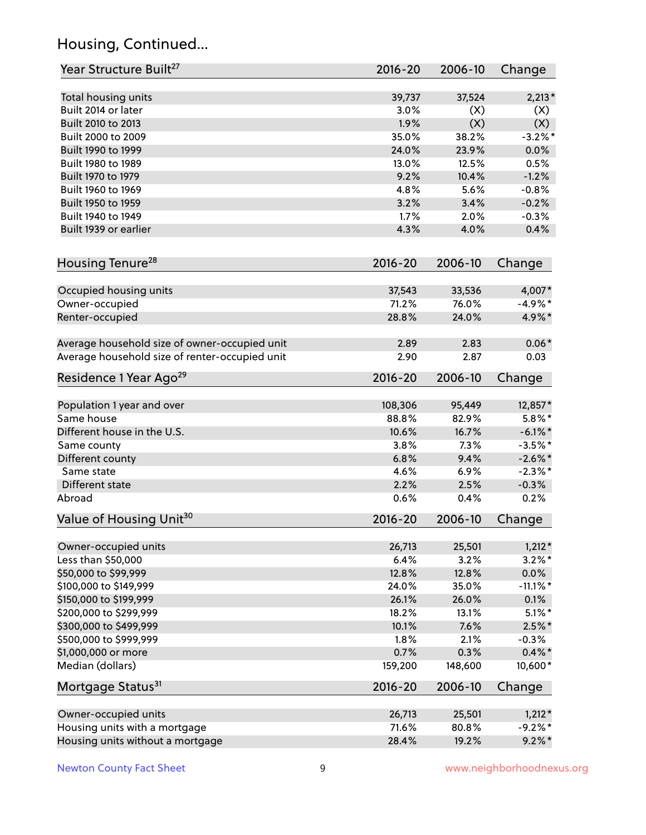# Housing, Continued...

| Year Structure Built <sup>27</sup>             | 2016-20     | 2006-10 | Change      |
|------------------------------------------------|-------------|---------|-------------|
| Total housing units                            | 39,737      | 37,524  | $2,213*$    |
| Built 2014 or later                            | 3.0%        | (X)     | (X)         |
| Built 2010 to 2013                             | 1.9%        | (X)     | (X)         |
| Built 2000 to 2009                             | 35.0%       | 38.2%   | $-3.2%$ *   |
| Built 1990 to 1999                             | 24.0%       | 23.9%   | 0.0%        |
| Built 1980 to 1989                             | 13.0%       | 12.5%   | 0.5%        |
| Built 1970 to 1979                             | 9.2%        | 10.4%   | $-1.2%$     |
| Built 1960 to 1969                             | 4.8%        | 5.6%    | $-0.8%$     |
| Built 1950 to 1959                             | 3.2%        | 3.4%    | $-0.2%$     |
| Built 1940 to 1949                             | 1.7%        | 2.0%    | $-0.3%$     |
| Built 1939 or earlier                          | 4.3%        | 4.0%    | 0.4%        |
| Housing Tenure <sup>28</sup>                   | $2016 - 20$ | 2006-10 | Change      |
|                                                |             |         |             |
| Occupied housing units                         | 37,543      | 33,536  | 4,007*      |
| Owner-occupied                                 | 71.2%       | 76.0%   | $-4.9%$ *   |
| Renter-occupied                                | 28.8%       | 24.0%   | 4.9%*       |
| Average household size of owner-occupied unit  | 2.89        | 2.83    | $0.06*$     |
| Average household size of renter-occupied unit | 2.90        | 2.87    | 0.03        |
| Residence 1 Year Ago <sup>29</sup>             | $2016 - 20$ | 2006-10 | Change      |
| Population 1 year and over                     | 108,306     | 95,449  | 12,857*     |
| Same house                                     | 88.8%       | 82.9%   | $5.8\%$ *   |
| Different house in the U.S.                    | 10.6%       | 16.7%   | $-6.1\%$ *  |
| Same county                                    | 3.8%        | 7.3%    | $-3.5%$ *   |
| Different county                               | 6.8%        | 9.4%    | $-2.6\%$ *  |
| Same state                                     | 4.6%        | 6.9%    | $-2.3\%$ *  |
| Different state                                | 2.2%        | 2.5%    | $-0.3%$     |
| Abroad                                         | 0.6%        | 0.4%    | 0.2%        |
| Value of Housing Unit <sup>30</sup>            | 2016-20     | 2006-10 | Change      |
|                                                |             |         |             |
| Owner-occupied units                           | 26,713      | 25,501  | $1,212*$    |
| Less than \$50,000                             | 6.4%        | 3.2%    | $3.2\%$ *   |
| \$50,000 to \$99,999                           | 12.8%       | 12.8%   | $0.0\%$     |
| \$100,000 to \$149,999                         | 24.0%       | 35.0%   | $-11.1\%$ * |
| \$150,000 to \$199,999                         | 26.1%       | 26.0%   | 0.1%        |
| \$200,000 to \$299,999                         | 18.2%       | 13.1%   | $5.1\%$ *   |
| \$300,000 to \$499,999                         | 10.1%       | 7.6%    | $2.5\%$ *   |
| \$500,000 to \$999,999                         | 1.8%        | 2.1%    | $-0.3%$     |
| \$1,000,000 or more                            | 0.7%        | 0.3%    | $0.4\% *$   |
| Median (dollars)                               | 159,200     | 148,600 | 10,600*     |
| Mortgage Status <sup>31</sup>                  | $2016 - 20$ | 2006-10 | Change      |
| Owner-occupied units                           | 26,713      | 25,501  | $1,212*$    |
| Housing units with a mortgage                  | 71.6%       | 80.8%   | $-9.2%$ *   |
| Housing units without a mortgage               | 28.4%       | 19.2%   | $9.2\%$ *   |
|                                                |             |         |             |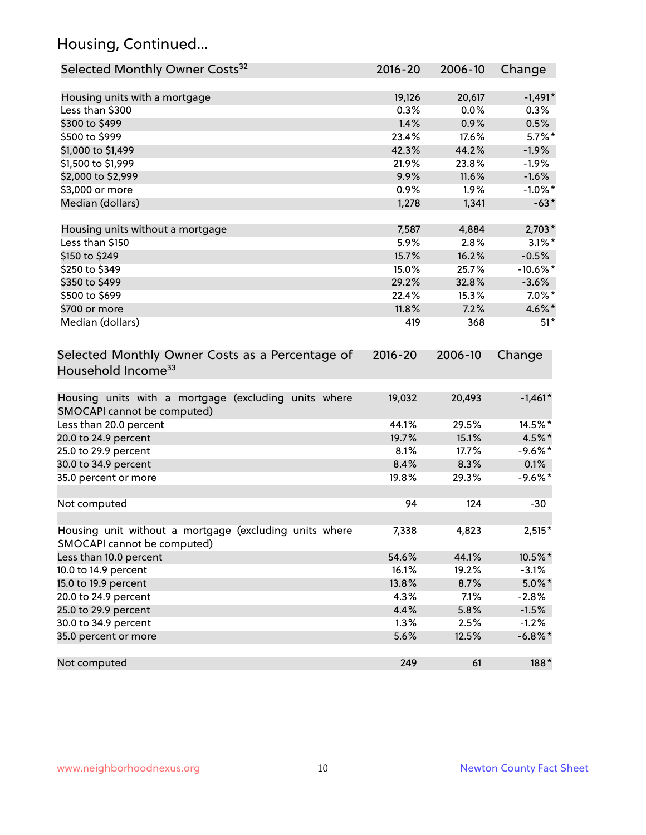# Housing, Continued...

| Selected Monthly Owner Costs <sup>32</sup>                                            | 2016-20     | 2006-10 | Change      |
|---------------------------------------------------------------------------------------|-------------|---------|-------------|
| Housing units with a mortgage                                                         | 19,126      | 20,617  | $-1,491*$   |
| Less than \$300                                                                       | 0.3%        | 0.0%    | 0.3%        |
| \$300 to \$499                                                                        | 1.4%        | 0.9%    | 0.5%        |
| \$500 to \$999                                                                        | 23.4%       | 17.6%   | $5.7\%$ *   |
| \$1,000 to \$1,499                                                                    | 42.3%       | 44.2%   | $-1.9%$     |
| \$1,500 to \$1,999                                                                    | 21.9%       | 23.8%   | $-1.9%$     |
| \$2,000 to \$2,999                                                                    | 9.9%        | 11.6%   | $-1.6%$     |
| \$3,000 or more                                                                       | 0.9%        | 1.9%    | $-1.0\%$ *  |
| Median (dollars)                                                                      | 1,278       | 1,341   | $-63*$      |
| Housing units without a mortgage                                                      | 7,587       | 4,884   | $2,703*$    |
| Less than \$150                                                                       | 5.9%        | 2.8%    | $3.1\%$ *   |
| \$150 to \$249                                                                        | 15.7%       | 16.2%   | $-0.5%$     |
| \$250 to \$349                                                                        | 15.0%       | 25.7%   | $-10.6\%$ * |
| \$350 to \$499                                                                        | 29.2%       | 32.8%   | $-3.6%$     |
| \$500 to \$699                                                                        | 22.4%       | 15.3%   | $7.0\%$ *   |
| \$700 or more                                                                         | 11.8%       | 7.2%    | 4.6%*       |
| Median (dollars)                                                                      | 419         | 368     | $51*$       |
| Selected Monthly Owner Costs as a Percentage of<br>Household Income <sup>33</sup>     | $2016 - 20$ | 2006-10 | Change      |
| Housing units with a mortgage (excluding units where<br>SMOCAPI cannot be computed)   | 19,032      | 20,493  | $-1,461*$   |
| Less than 20.0 percent                                                                | 44.1%       | 29.5%   | 14.5%*      |
| 20.0 to 24.9 percent                                                                  | 19.7%       | 15.1%   | 4.5%*       |
| 25.0 to 29.9 percent                                                                  | 8.1%        | 17.7%   | $-9.6%$ *   |
| 30.0 to 34.9 percent                                                                  | 8.4%        | 8.3%    | 0.1%        |
| 35.0 percent or more                                                                  | 19.8%       | 29.3%   | $-9.6%$ *   |
| Not computed                                                                          | 94          | 124     | $-30$       |
| Housing unit without a mortgage (excluding units where<br>SMOCAPI cannot be computed) | 7,338       | 4,823   | $2,515*$    |
| Less than 10.0 percent                                                                | 54.6%       | 44.1%   | 10.5%*      |
| 10.0 to 14.9 percent                                                                  | 16.1%       | 19.2%   | $-3.1%$     |
| 15.0 to 19.9 percent                                                                  | 13.8%       | 8.7%    | $5.0\%$ *   |
| 20.0 to 24.9 percent                                                                  | 4.3%        | 7.1%    | $-2.8%$     |
| 25.0 to 29.9 percent                                                                  | 4.4%        | 5.8%    | $-1.5%$     |
| 30.0 to 34.9 percent                                                                  | 1.3%        | 2.5%    | $-1.2%$     |
| 35.0 percent or more                                                                  | 5.6%        | 12.5%   | $-6.8\%$ *  |
| Not computed                                                                          | 249         | 61      | 188*        |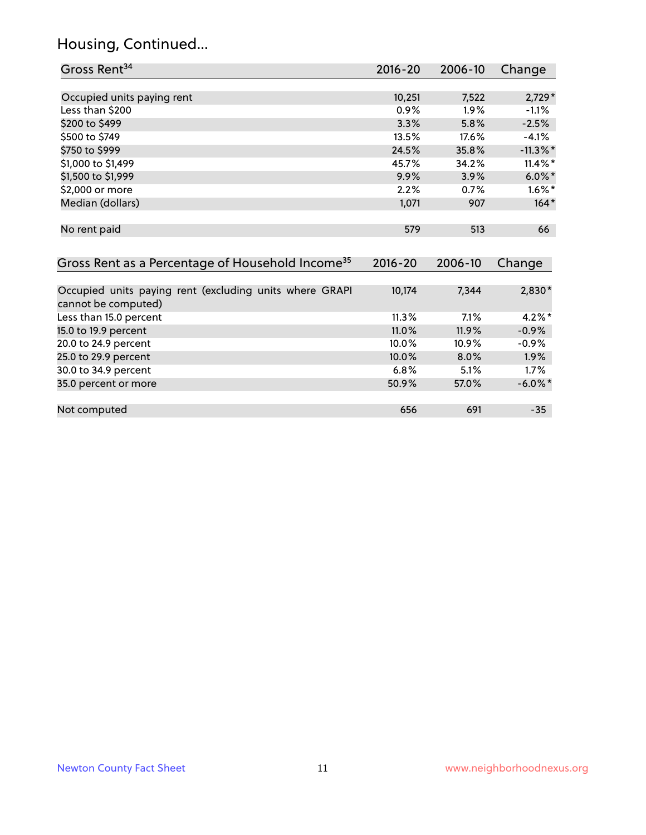# Housing, Continued...

| Gross Rent <sup>34</sup>                                                       | $2016 - 20$ | 2006-10 | Change      |
|--------------------------------------------------------------------------------|-------------|---------|-------------|
|                                                                                |             |         |             |
| Occupied units paying rent                                                     | 10,251      | 7,522   | $2,729*$    |
| Less than \$200                                                                | 0.9%        | 1.9%    | $-1.1%$     |
| \$200 to \$499                                                                 | 3.3%        | 5.8%    | $-2.5%$     |
| \$500 to \$749                                                                 | 13.5%       | 17.6%   | $-4.1%$     |
| \$750 to \$999                                                                 | 24.5%       | 35.8%   | $-11.3\%$ * |
| \$1,000 to \$1,499                                                             | 45.7%       | 34.2%   | $11.4\%$ *  |
| \$1,500 to \$1,999                                                             | 9.9%        | 3.9%    | $6.0\%$ *   |
| \$2,000 or more                                                                | 2.2%        | 0.7%    | $1.6\%$ *   |
| Median (dollars)                                                               | 1,071       | 907     | $164*$      |
| No rent paid                                                                   | 579         | 513     | 66          |
|                                                                                |             |         |             |
| Gross Rent as a Percentage of Household Income <sup>35</sup>                   | $2016 - 20$ | 2006-10 | Change      |
|                                                                                |             |         |             |
| Occupied units paying rent (excluding units where GRAPI<br>cannot be computed) | 10,174      | 7,344   | $2,830*$    |
| Less than 15.0 percent                                                         | 11.3%       | 7.1%    | $4.2\%$ *   |
| 15.0 to 19.9 percent                                                           | 11.0%       | 11.9%   | $-0.9%$     |
| 20.0 to 24.9 percent                                                           | 10.0%       | 10.9%   | $-0.9%$     |
| 25.0 to 29.9 percent                                                           | 10.0%       | 8.0%    | 1.9%        |
| 30.0 to 34.9 percent                                                           | 6.8%        | 5.1%    | 1.7%        |
| 35.0 percent or more                                                           | 50.9%       | 57.0%   | $-6.0\%$ *  |
|                                                                                |             |         |             |

Not computed and the computed computed computed computed computed computed computed computed computed computed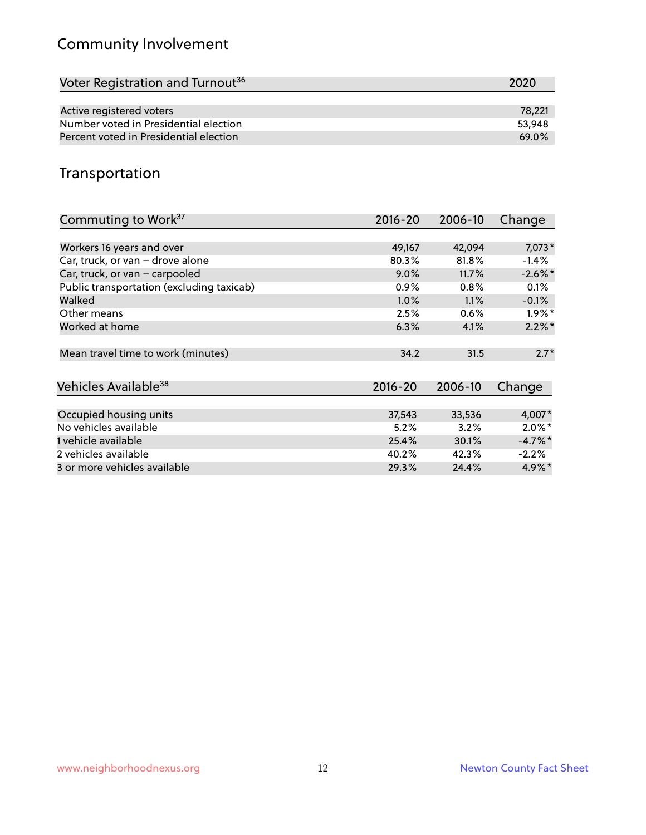# Community Involvement

| Voter Registration and Turnout <sup>36</sup> | 2020   |
|----------------------------------------------|--------|
|                                              |        |
| Active registered voters                     | 78.221 |
| Number voted in Presidential election        | 53.948 |
| Percent voted in Presidential election       | 69.0%  |

# Transportation

| Commuting to Work <sup>37</sup>           | 2016-20     | 2006-10 | Change               |
|-------------------------------------------|-------------|---------|----------------------|
|                                           |             |         |                      |
| Workers 16 years and over                 | 49,167      | 42,094  | 7,073*               |
| Car, truck, or van - drove alone          | 80.3%       | 81.8%   | $-1.4%$              |
| Car, truck, or van - carpooled            | $9.0\%$     | 11.7%   | $-2.6\%$ *           |
| Public transportation (excluding taxicab) | 0.9%        | 0.8%    | $0.1\%$              |
| Walked                                    | 1.0%        | 1.1%    | $-0.1%$              |
| Other means                               | 2.5%        | 0.6%    | $1.9\%$ *            |
| Worked at home                            | 6.3%        | 4.1%    | $2.2\%$ *            |
|                                           |             |         |                      |
| Mean travel time to work (minutes)        | 34.2        | 31.5    | $2.7*$               |
|                                           |             |         |                      |
| Vehicles Available <sup>38</sup>          | $2016 - 20$ | 2006-10 | Change               |
|                                           |             |         |                      |
| Occupied housing units                    | 37,543      | 33,536  | 4,007*               |
| No vehicles available                     | 5.2%        | 3.2%    | $2.0\%$ *            |
| 1 vehicle available                       | 25.4%       | 30.1%   | $-4.7\%$ *           |
| 2 vehicles available                      | 40.2%       | 42.3%   | $-2.2%$              |
| 3 or more vehicles available              | 29.3%       | 24.4%   | $4.9\%$ <sup>*</sup> |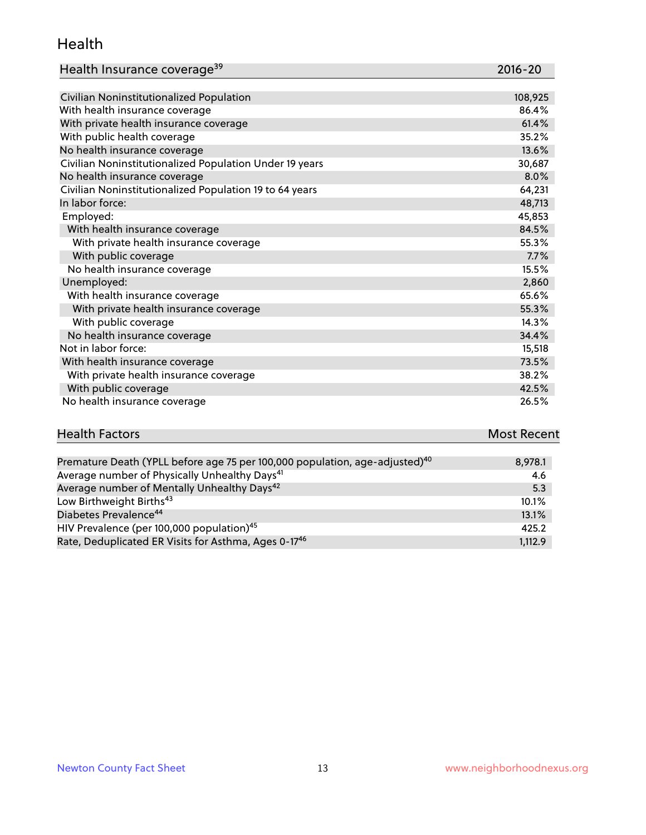#### Health

| Health Insurance coverage <sup>39</sup> | 2016-20 |
|-----------------------------------------|---------|
|-----------------------------------------|---------|

| Civilian Noninstitutionalized Population                | 108,925 |
|---------------------------------------------------------|---------|
| With health insurance coverage                          | 86.4%   |
| With private health insurance coverage                  | 61.4%   |
| With public health coverage                             | 35.2%   |
| No health insurance coverage                            | 13.6%   |
| Civilian Noninstitutionalized Population Under 19 years | 30,687  |
| No health insurance coverage                            | 8.0%    |
| Civilian Noninstitutionalized Population 19 to 64 years | 64,231  |
| In labor force:                                         | 48,713  |
| Employed:                                               | 45,853  |
| With health insurance coverage                          | 84.5%   |
| With private health insurance coverage                  | 55.3%   |
| With public coverage                                    | 7.7%    |
| No health insurance coverage                            | 15.5%   |
| Unemployed:                                             | 2,860   |
| With health insurance coverage                          | 65.6%   |
| With private health insurance coverage                  | 55.3%   |
| With public coverage                                    | 14.3%   |
| No health insurance coverage                            | 34.4%   |
| Not in labor force:                                     | 15,518  |
| With health insurance coverage                          | 73.5%   |
| With private health insurance coverage                  | 38.2%   |
| With public coverage                                    | 42.5%   |
| No health insurance coverage                            | 26.5%   |

| <b>Health Factors</b> | <b>Most Recent</b> |
|-----------------------|--------------------|
|                       |                    |

| Premature Death (YPLL before age 75 per 100,000 population, age-adjusted) <sup>40</sup> | 8,978.1 |
|-----------------------------------------------------------------------------------------|---------|
| Average number of Physically Unhealthy Days <sup>41</sup>                               | 4.6     |
| Average number of Mentally Unhealthy Days <sup>42</sup>                                 | 5.3     |
| Low Birthweight Births <sup>43</sup>                                                    | 10.1%   |
| Diabetes Prevalence <sup>44</sup>                                                       | 13.1%   |
| HIV Prevalence (per 100,000 population) <sup>45</sup>                                   | 425.2   |
| Rate, Deduplicated ER Visits for Asthma, Ages 0-17 <sup>46</sup>                        | 1,112.9 |